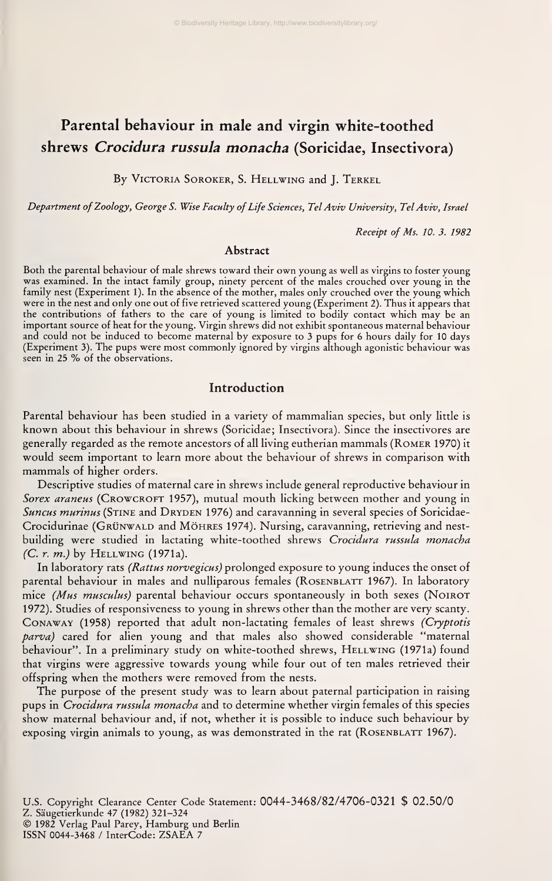# Parental behaviour in male and virgin white-toothed shrews Crocidura russula monacha (Soricidae, Insectivora)

By VICTORIA SOROKER, S. HELLWING and J. TERKEL

Department of Zoology, George S. Wise Faculty of Life Sciences, Tel Aviv University, Tel Aviv, Israel

Receipt of Ms. 10. 3. 1982

#### Abstract

Both the parental behaviour of male shrews toward their own young as well as virgins to foster young was examined. In the intact family group, ninety percent of the males crouched over young in the family nest (Experiment 1). In the absence of the mother, males only crouched over the young which were in the nest and only one out of five retrieved scattered young (Experiment 2). Thus it appears that the contributions of fathers to the care of young is limited to bodily contact which may be an important source of heat for the young. Virgin shrews did not exhibit spontaneous maternal behaviour and could not be induced to become maternal by exposure to 3 pups for 6 hours daily for 10 days (Experiment 3). The pups were most commonly ignored by virgins although agonistic behaviour was seen in <sup>25</sup> % of the observations.

# Introduction

Parental behaviour has been studied in <sup>a</sup> variety of mammalian species, but only little is known about this behaviour in shrews (Soricidae; Insectivora). Since the insectivores are generally regarded as the remote ancestors of all living eutherian mammals (Romer 1970) it would seem important to learn more about the behaviour of shrews in comparison with mammals of higher orders.

Descriptive studies of maternal care in shrews include general reproductive behaviour in Sorex araneus (CROWCROFT 1957), mutual mouth licking between mother and young in Suncus murinus (STINE and DRYDEN 1976) and caravanning in several species of Soricidae-Crocidurinae (GRÜNWALD and MÖHRES 1974). Nursing, caravanning, retrieving and nestbuilding were studied in lactating white-toothed shrews Crocidura russula monacha (C. r. m.) by Hellwing (1971a).

In laboratory rats (Rattus norvegicus) prolonged exposure to young induces the onset of parental behaviour in males and nulliparous females (ROSENBLATT 1967). In laboratory mice (Mus musculus) parental behaviour occurs spontaneously in both sexes (NOIROT 1972). Studies of responsiveness to young in shrews other than the mother are very scanty. Conaway (1958) reported that adult non-lactating females of least shrews (Cryptotis parva) cared for alien young and that males also showed considerable "maternal behaviour". In a preliminary study on white-toothed shrews, HELLWING (1971a) found that virgins were aggressive towards young while four out of ten males retrieved their offspring when the mothers were removed from the nests.

The purpose of the present study was to learn about paternal participation in raising pups in *Crocidura russula monacha* and to determine whether virgin females of this species show maternal behaviour and, if not, whether it is possible to induce such behaviour by exposing virgin animals to young, as was demonstrated in the rat (ROSENBLATT 1967).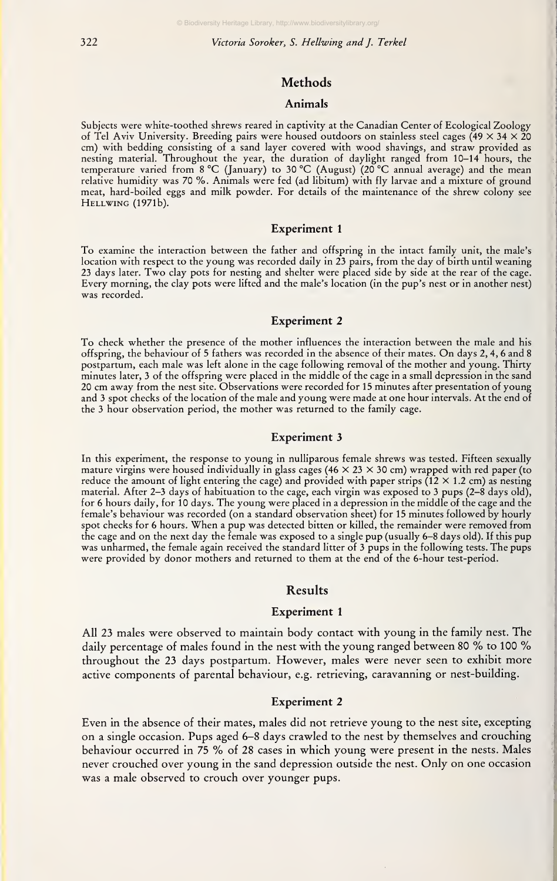322 Victoria Soroker, S. Hellwing and J. Terkel

## Methods

#### Animals

Subjects were white-toothed shrews reared in captivity at the Canadian Center of Ecological Zoology of Tel Aviv University. Breeding pairs were housed outdoors on stainless steel cages  $(49 \times 34 \times 20$ cm) with bedding consisting of <sup>a</sup> sand layer covered with wood shavings, and straw provided as nesting material. Throughout the year, the duration of daylight ranged from 10-14 hours, the temperature varied from <sup>8</sup> °C (January) to 30 °C (August) (20 °C annual average) and the mean relative humidity was 70 %. Animals v^^ere fed (ad libitum) with fly larvae and <sup>a</sup> mixture of ground meat, hard-boiled eggs and milk powder. For details of the maintenance of the shrew colony see Hellwing (1971b).

#### Experiment <sup>1</sup>

To examine the interaction between the father and offspring in the intact family unit, the male's location with respect to the young was recorded daily in 23 pairs, from the day of birth until weaning 23 days later. Two clay pots for nesting and shelter were placed side by side at the rear of the cage. Every morning, the clay pots were lifted and the male's location (in the pup's nest or in another nest) was recorded.

#### Experiment 2

To check whether the presence of the mother influences the interaction between the male and his offspring, the behaviour of <sup>5</sup> fathers was recorded in the absence of their mates. On days 2, 4, <sup>6</sup> and <sup>8</sup> postpartum, each male was left alone in the cage following removal of the mother and young. Thirty minutes later, 3 of the offspring were placed in the middle of the cage in a small depression in the sand 20 cm away from the nest site. Observations were recorded for 15 minutes after presentation of young and <sup>3</sup> spot checks of the location of the male and young were made at one hour intervals. At the end of the 3 hour observation period, the mother was returned to the family cage.

#### Experiment 3

In this experiment, the response to young in nulliparous female shrews was tested. Fifteen sexually mature virgins were housed individually in glass cages (46  $\times$  23  $\times$  30 cm) wrapped with red paper (to reduce the amount of light entering the cage) and provided with paper strips (12  $\times$  1.2 cm) as nesting material. After 2-3 days of habituation to the cage, each virgin was exposed to 3 pups (2-8 days old), for 6 hours daily, for 10 days. The young were placed in <sup>a</sup> depression in the middle of the cage and the female's behaviour was recorded (on a standard observation sheet) for 15 minutes followed by hourly spot checks for <sup>6</sup> hours. When <sup>a</sup> pup was detected bitten or killed, the remainder were removed from the cage and on the next day the female was exposed to a single pup (usually 6-8 days old). If this pup was unharmed, the female again received the standard litter of 3 pups in the following tests. The pups were provided by donor mothers and returned to them at the end of the 6-hour test-period.

#### Results

#### Experiment <sup>1</sup>

All 23 males were observed to maintain body contact with young in the family nest. The daily percentage of males found in the nest with the young ranged between 80 % to 100 % throughout the 23 days postpartum. However, males were never seen to exhibit more active components of parental behaviour, e.g. retrieving, caravanning or nest-building.

#### Experiment 2

Even in the absence of their mates, males did not retrieve young to the nest site, excepting on <sup>a</sup> single occasion, Pups aged 6-8 days crawled to the nest by themselves and crouching behaviour occurred in <sup>75</sup> % of <sup>28</sup> cases in which young were present in the nests. Males never crouched over young in the sand depression outside the nest. Only on one occasion was a male observed to crouch over younger pups.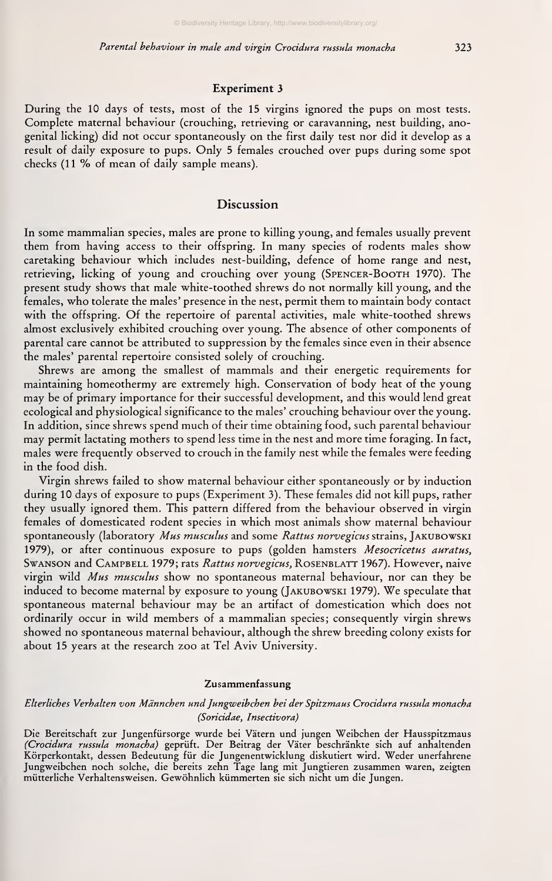#### Experiment 3

During the 10 days of tests, most of the 15 virgins ignored the pups on most tests. Complete maternal behaviour (crouching, retrieving or caravanning, nest building, anogenital licking) did not occur spontaneously on the first daily test nor did it develop as a result of daily exposure to pups. Only <sup>5</sup> females crouched over pups during some spot checks (11 % of mean of daily sample means).

## Discussion

In some mammalian species, males are prone to killing young, and females usually prevent them from having access to their offspring. In many species of rodents males show caretaking behaviour which includes nest-building, defence of home range and nest, retrieving, licking of young and crouching over young (Spencer-Booth 1970). The present study shows that male white-toothed shrews do not normally kill young, and the females, who tolerate the males' presence in the nest, permit them to maintain body contact with the offspring. Of the repertoire of parental activities, male white-toothed shrews almost exclusively exhibited crouching over young. The absence of other components of parental care cannot be attributed to suppression by the females since even in their absence the males' parental repertoire consisted solely of crouching.

Shrews are among the smallest of mammals and their energetic requirements for maintaining homeothermy are extremely high. Conservation of body heat of the young may be of primary importance for their successful development, and this would lend great ecological and physiological significance to the males' crouching behaviour over the young. In addition, since shrews spend much of their time obtaining food, such parental behaviour may permit lactating mothers to spend less time in the nest and more time foraging. In fact, males were frequently observed to crouch in the family nest while the females were feeding in the food dish.

Virgin shrews failed to show maternal behaviour either spontaneously or by induction during 10 days of exposure to pups (Experiment 3). These females did not kill pups, rather they usually ignored them. This pattern differed from the behaviour observed in virgin females of domesticated rodent species in which most animals show maternal behaviour spontaneously (laboratory Mus musculus and some Rattus norvegicus strains, JAKUBOWSKI 1979), or after continuous exposure to pups (golden hamsters Mesocricetus auratus, SwANSON and CAMPBELL 1979; rats Rattus norvegicus, ROSENBLATT 1967). However, naive virgin wild Mus musculus show no spontaneous maternal behaviour, nor can they be induced to become maternal by exposure to young (Jakubowski 1979). We speculate that spontaneous maternal behaviour may be an artifact of domestication which does not ordinarily occur in wild members of a mammalian species; consequently virgin shrews showed no spontaneous maternal behaviour, although the shrew breeding colony exists for about 15 years at the research zoo at Tel Aviv University.

#### Zusammenfassung

#### Elterliches Verhalten von Männchen und Jungweibchen bei der Spitzmaus Crocidura russula monacha (Soricidae, Insectivora)

Die Bereitschaft zur Jungenfürsorge wurde bei Vätern und jungen Weibchen der Hausspitzmaus (Crocidura russula monacha) geprüft. Der Beitrag der Väter beschränkte sich auf anhaltenden Körperkontakt, dessen Bedeutung für die Jungenentwicklung diskutiert wird. Weder unerfahrene Jungweibchen noch solche, die bereits zehn Tage lang mit Jungtieren zusammen waren, zeigten mütterliche Verhaltensweisen. Gewöhnlich kümmerten sie sich nicht um die Jungen.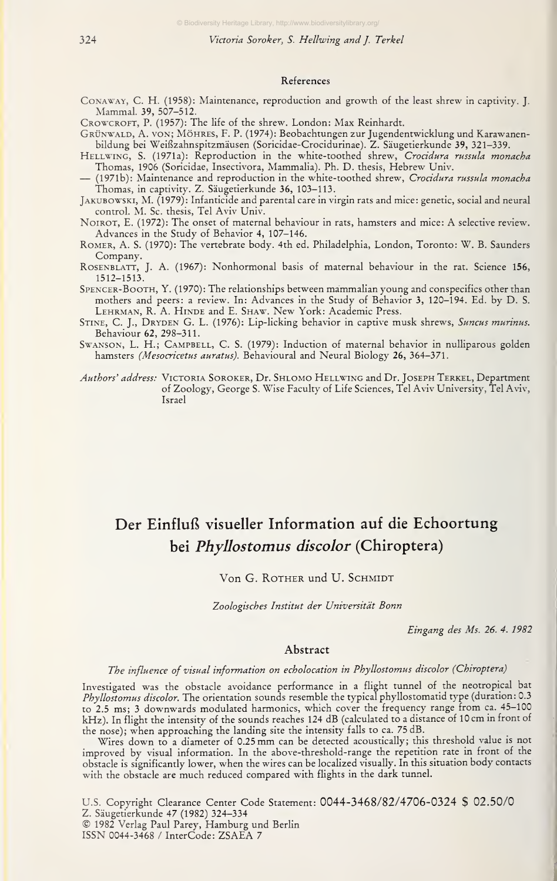#### References

CoNAWAY, C. H. (1958): Maintenance, reproduction and growth of the least shrew in captivity. J. Mammal. 39, 507-512.

CROWCROFT, P. (1957): The life of the shrew. London: Max Reinhardt.

GRÜNWALD, A. VON; MÖHRES, F. P. (1974): Beobachtungen zur Jugendentwicklung und Karawanenbildung bei Weißzahnspitzmäusen (Soricidae-Crocidurinae). Z. Säugetierkunde 39, 321-339.

HELLWING, S. (1971a): Reproduction in the white-toothed shrew, Crocidura russula monacha<br>Thomas, 1906 (Soricidae, Insectivora, Mammalia). Ph. D. thesis, Hebrew Univ.

- (1971b): Maintenance and reproduction in the white-toothed shrew, Crocidura russula monacha Thomas, in captivity. Z. Säugetierkunde 36, 103-113.

JAKUBOWSKI, M. (1979): Infanticide and parental care in virgin rats and mice: genetic, social and neural control. M. Sc. thesis, Tel Aviv Univ.

NoiROT, E. (1972): The onset of maternal behaviour in rats, hamsters and mice: A selective review. Advances in the Study of Behavior 4, 107-146.

Romer, A. S. (1970): The vertebrate body. 4th ed. Philadelphia, London, Toronto: W. B. Saunders Company.

RosEXBLATT, J. A. (1967): Nonhormonal basis of maternal behaviour in the rat. Science 156, 1512-1513.

Spencer-Booth, Y. (1970): The relationships between mammalian young and conspecifics other than mothers and peers: <sup>a</sup> review. In: Advances in the Study of Behavior 3, 120-194. Ed. by D. S. LEHRMAN, R. A. HINDE and E. SHAW. New York: Academic Press.

STINE, C. J., DRYDEN G. L. (1976): Lip-licking behavior in captive musk shrews, Suncus murinus. Behaviour 62, 298-311.

SWANSON, L. H.; CAMPBELL, C. S. (1979): Induction of maternal behavior in nulliparous golden hamsters (Mesocricetus auratus). Behavioural and Neural Biology 26, 364-371.

Authors' address: VICTORIA SOROKER, Dr. SHLOMO HELLWING and Dr. JOSEPH TERKEL, Department of Zoology, George S. Wise Faculty of Life Sciences, Tel Aviv University, Tel Aviv, Israel

# Der Einfluß visueller Information auf die Echoortung bei Phyllostomus discolor (Chiroptera)

#### Von G. ROTHER und U. SCHMIDT

Zoologisches Institut der Universität Bonn

Eingang des Ms. 26. 4. 1982

#### Abstract

## The influence of visual injormation on echolocation in Phyllostomus discolor {Chiroptera)

Investigated was the obstacle avoidance performance in a flight tunnel of the neotropical bat Phyllostomus discolor. The orientation sounds resemble the typical phyllostomatid type (duration: 0.3 to 2.5 ms; 3 downwards modulated harmonics, which cover the frequency range from ca. 45-100 kHz). In flight the intensity of the sounds reaches 124 dB (calculated to a distance of 10 cm in front of the nose); when approaching the landing site the intensity falls to ca. 75 dB.

Wires down to <sup>a</sup> diameter of 0.25 mm can be detected acoustically; this threshold value is not improved by visual Information. In the above-threshold-range the repetition rate in front of the obstacle is significantly lower, when the wires can be localized visually. In this situation body contacts with the obstacle are much reduced compared with flights in the dark tunnel.

U.S. Copyright Clearance Center Code Statement: 0044-3468/82/4706-0324 \$ 02.50/0  $© 1982 Verlag Paul Parey, Hamburg und Berlin$ ISSN 0044-3468 / InterCode: ZSAEA <sup>7</sup>